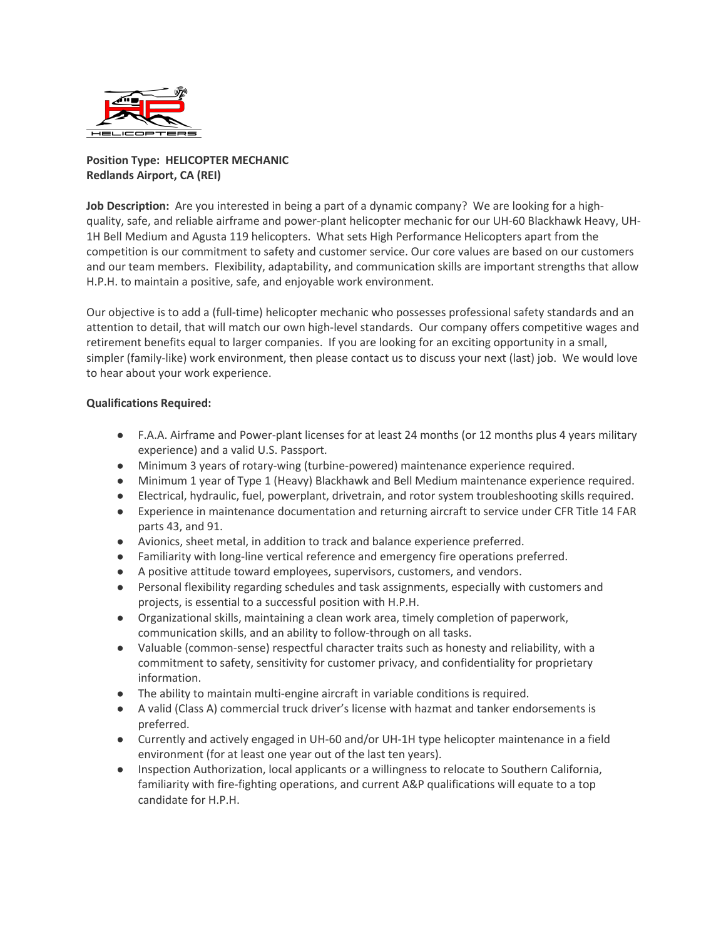

## **Position Type: HELICOPTER MECHANIC Redlands Airport, CA (REI)**

**Job Description:** Are you interested in being a part of a dynamic company? We are looking for a highquality, safe, and reliable airframe and power-plant helicopter mechanic for our UH-60 Blackhawk Heavy, UH-1H Bell Medium and Agusta 119 helicopters. What sets High Performance Helicopters apart from the competition is our commitment to safety and customer service. Our core values are based on our customers and our team members. Flexibility, adaptability, and communication skills are important strengths that allow H.P.H. to maintain a positive, safe, and enjoyable work environment.

Our objective is to add a (full-time) helicopter mechanic who possesses professional safety standards and an attention to detail, that will match our own high-level standards. Our company offers competitive wages and retirement benefits equal to larger companies. If you are looking for an exciting opportunity in a small, simpler (family-like) work environment, then please contact us to discuss your next (last) job. We would love to hear about your work experience.

## **Qualifications Required:**

- F.A.A. Airframe and Power-plant licenses for at least 24 months (or 12 months plus 4 years military experience) and a valid U.S. Passport.
- Minimum 3 years of rotary-wing (turbine-powered) maintenance experience required.
- Minimum 1 year of Type 1 (Heavy) Blackhawk and Bell Medium maintenance experience required.
- Electrical, hydraulic, fuel, powerplant, drivetrain, and rotor system troubleshooting skills required.
- Experience in maintenance documentation and returning aircraft to service under CFR Title 14 FAR parts 43, and 91.
- Avionics, sheet metal, in addition to track and balance experience preferred.
- Familiarity with long-line vertical reference and emergency fire operations preferred.
- A positive attitude toward employees, supervisors, customers, and vendors.
- Personal flexibility regarding schedules and task assignments, especially with customers and projects, is essential to a successful position with H.P.H.
- Organizational skills, maintaining a clean work area, timely completion of paperwork, communication skills, and an ability to follow-through on all tasks.
- Valuable (common-sense) respectful character traits such as honesty and reliability, with a commitment to safety, sensitivity for customer privacy, and confidentiality for proprietary information.
- The ability to maintain multi-engine aircraft in variable conditions is required.
- A valid (Class A) commercial truck driver's license with hazmat and tanker endorsements is preferred.
- Currently and actively engaged in UH-60 and/or UH-1H type helicopter maintenance in a field environment (for at least one year out of the last ten years).
- Inspection Authorization, local applicants or a willingness to relocate to Southern California, familiarity with fire-fighting operations, and current A&P qualifications will equate to a top candidate for H.P.H.